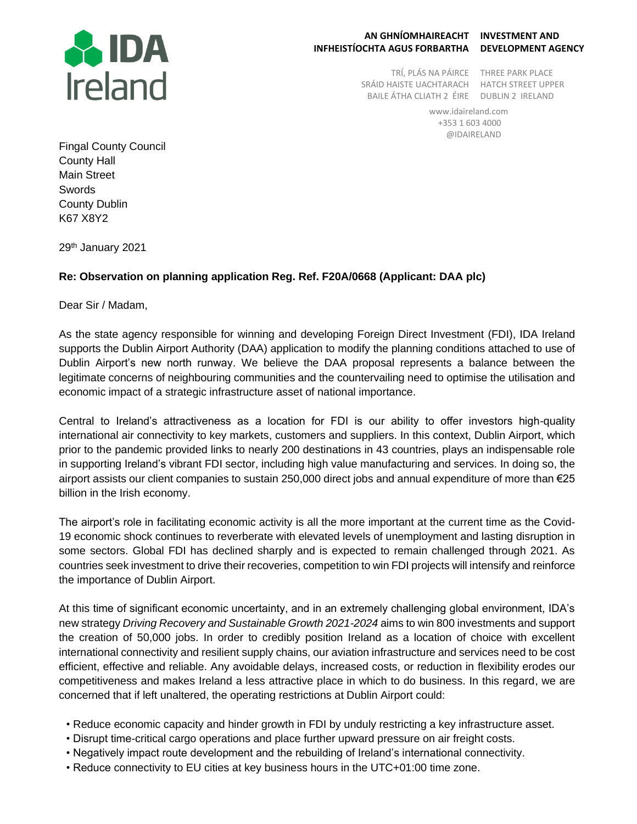

## **AN GHNÍOMHAIREACHT INVESTMENT AND INFHEISTÍOCHTA AGUS FORBARTHA DEVELOPMENT AGENCY**

TRÍ, PLÁS NA PÁIRCE THREE PARK PLACE SRÁID HAISTE UACHTARACH HATCH STREET UPPER BAILE ÁTHA CLIATH 2 ÉIRE DUBLIN 2 IRELAND

www.idaireland.com +353 1 603 4000 @IDAIRELAND

Fingal County Council County Hall Main Street Swords County Dublin K67 X8Y2

29th January 2021

## **Re: Observation on planning application Reg. Ref. F20A/0668 (Applicant: DAA plc)**

Dear Sir / Madam,

As the state agency responsible for winning and developing Foreign Direct Investment (FDI), IDA Ireland supports the Dublin Airport Authority (DAA) application to modify the planning conditions attached to use of Dublin Airport's new north runway. We believe the DAA proposal represents a balance between the legitimate concerns of neighbouring communities and the countervailing need to optimise the utilisation and economic impact of a strategic infrastructure asset of national importance.

Central to Ireland's attractiveness as a location for FDI is our ability to offer investors high-quality international air connectivity to key markets, customers and suppliers. In this context, Dublin Airport, which prior to the pandemic provided links to nearly 200 destinations in 43 countries, plays an indispensable role in supporting Ireland's vibrant FDI sector, including high value manufacturing and services. In doing so, the airport assists our client companies to sustain 250,000 direct jobs and annual expenditure of more than €25 billion in the Irish economy.

The airport's role in facilitating economic activity is all the more important at the current time as the Covid-19 economic shock continues to reverberate with elevated levels of unemployment and lasting disruption in some sectors. Global FDI has declined sharply and is expected to remain challenged through 2021. As countries seek investment to drive their recoveries, competition to win FDI projects will intensify and reinforce the importance of Dublin Airport.

At this time of significant economic uncertainty, and in an extremely challenging global environment, IDA's new strategy *Driving Recovery and Sustainable Growth 2021-2024* aims to win 800 investments and support the creation of 50,000 jobs. In order to credibly position Ireland as a location of choice with excellent international connectivity and resilient supply chains, our aviation infrastructure and services need to be cost efficient, effective and reliable. Any avoidable delays, increased costs, or reduction in flexibility erodes our competitiveness and makes Ireland a less attractive place in which to do business. In this regard, we are concerned that if left unaltered, the operating restrictions at Dublin Airport could:

- Reduce economic capacity and hinder growth in FDI by unduly restricting a key infrastructure asset.
- Disrupt time-critical cargo operations and place further upward pressure on air freight costs.
- Negatively impact route development and the rebuilding of Ireland's international connectivity.
- Reduce connectivity to EU cities at key business hours in the UTC+01:00 time zone.